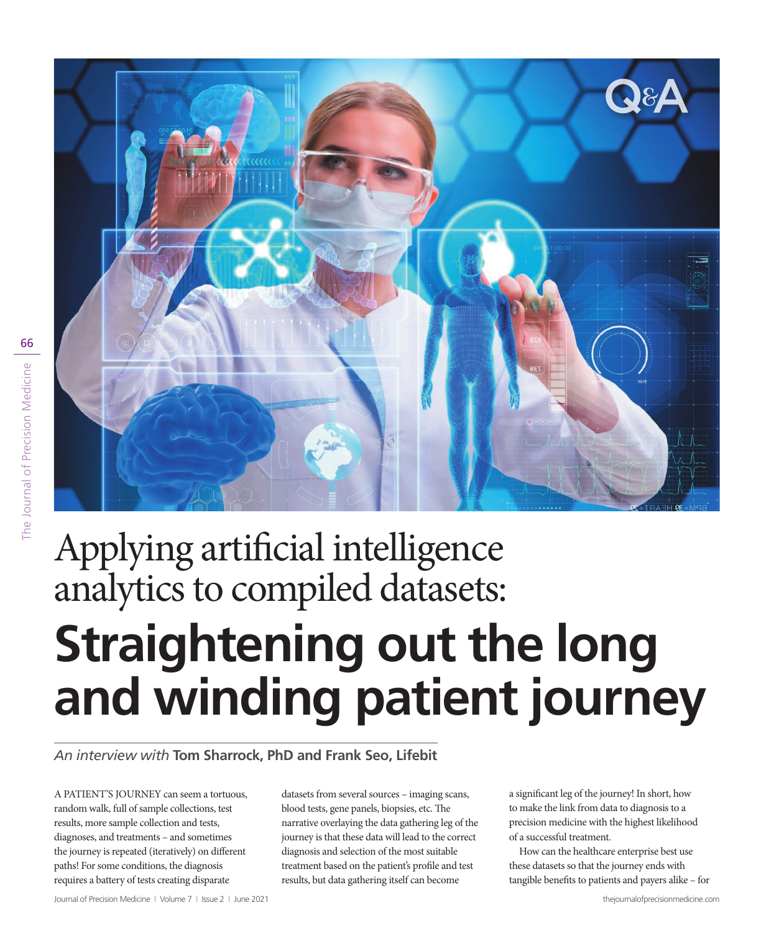

# Applying artificial intelligence analytics to compiled datasets: **Straightening out the long and winding patient journey**

*An interview with* **Tom Sharrock, PhD and Frank Seo, Lifebit**

A PATIENT'S JOURNEY can seem a tortuous, random walk, full of sample collections, test results, more sample collection and tests, diagnoses, and treatments – and sometimes the journey is repeated (iteratively) on different paths! For some conditions, the diagnosis requires a battery of tests creating disparate

datasets from several sources – imaging scans, blood tests, gene panels, biopsies, etc. The narrative overlaying the data gathering leg of the journey is that these data will lead to the correct diagnosis and selection of the most suitable treatment based on the patient's profile and test results, but data gathering itself can become

a significant leg of the journey! In short, how to make the link from data to diagnosis to a precision medicine with the highest likelihood of a successful treatment.

How can the healthcare enterprise best use these datasets so that the journey ends with tangible benefits to patients and payers alike – for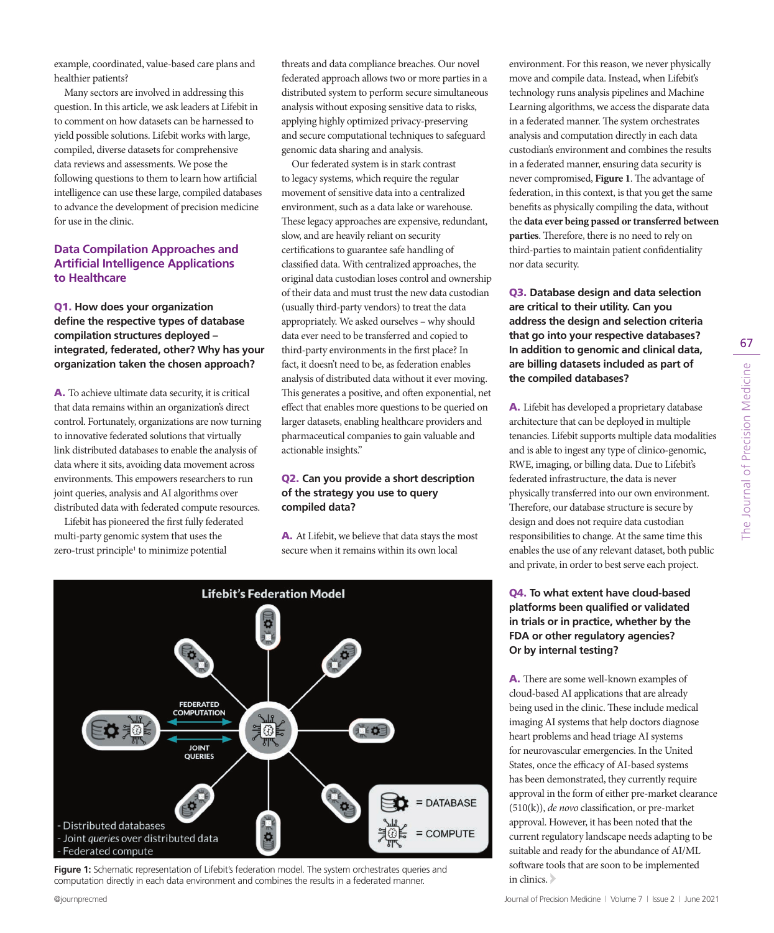example, coordinated, value-based care plans and healthier patients?

Many sectors are involved in addressing this question. In this article, we ask leaders at Lifebit in to comment on how datasets can be harnessed to yield possible solutions. Lifebit works with large, compiled, diverse datasets for comprehensive data reviews and assessments. We pose the following questions to them to learn how artificial intelligence can use these large, compiled databases to advance the development of precision medicine for use in the clinic.

## **Data Compilation Approaches and Artificial Intelligence Applications to Healthcare**

#### Q1. **How does your organization define the respective types of database compilation structures deployed – integrated, federated, other? Why has your organization taken the chosen approach?**

A. To achieve ultimate data security, it is critical that data remains within an organization's direct control. Fortunately, organizations are now turning to innovative federated solutions that virtually link distributed databases to enable the analysis of data where it sits, avoiding data movement across environments. This empowers researchers to run joint queries, analysis and AI algorithms over distributed data with federated compute resources.

Lifebit has pioneered the first fully federated multi-party genomic system that uses the zero-trust principle<sup>1</sup> to minimize potential

threats and data compliance breaches. Our novel federated approach allows two or more parties in a distributed system to perform secure simultaneous analysis without exposing sensitive data to risks, applying highly optimized privacy-preserving and secure computational techniques to safeguard genomic data sharing and analysis.

Our federated system is in stark contrast to legacy systems, which require the regular movement of sensitive data into a centralized environment, such as a data lake or warehouse. These legacy approaches are expensive, redundant, slow, and are heavily reliant on security certifications to guarantee safe handling of classified data. With centralized approaches, the original data custodian loses control and ownership of their data and must trust the new data custodian (usually third-party vendors) to treat the data appropriately. We asked ourselves – why should data ever need to be transferred and copied to third-party environments in the first place? In fact, it doesn't need to be, as federation enables analysis of distributed data without it ever moving. This generates a positive, and often exponential, net effect that enables more questions to be queried on larger datasets, enabling healthcare providers and pharmaceutical companies to gain valuable and actionable insights."

#### Q2. **Can you provide a short description of the strategy you use to query compiled data?**

A. At Lifebit, we believe that data stays the most secure when it remains within its own local



**Figure 1:** Schematic representation of Lifebit's federation model. The system orchestrates queries and computation directly in each data environment and combines the results in a federated manner.

environment. For this reason, we never physically move and compile data. Instead, when Lifebit's technology runs analysis pipelines and Machine Learning algorithms, we access the disparate data in a federated manner. The system orchestrates analysis and computation directly in each data custodian's environment and combines the results in a federated manner, ensuring data security is never compromised, **Figure 1**. The advantage of federation, in this context, is that you get the same benefits as physically compiling the data, without the **data ever being passed or transferred between parties**. Therefore, there is no need to rely on third-parties to maintain patient confidentiality nor data security.

Q3. **Database design and data selection are critical to their utility. Can you address the design and selection criteria that go into your respective databases? In addition to genomic and clinical data, are billing datasets included as part of the compiled databases?**

A. Lifebit has developed a proprietary database architecture that can be deployed in multiple tenancies. Lifebit supports multiple data modalities and is able to ingest any type of clinico-genomic, RWE, imaging, or billing data. Due to Lifebit's federated infrastructure, the data is never physically transferred into our own environment. Therefore, our database structure is secure by design and does not require data custodian responsibilities to change. At the same time this enables the use of any relevant dataset, both public and private, in order to best serve each project.

## Q4. **To what extent have cloud-based platforms been qualified or validated in trials or in practice, whether by the FDA or other regulatory agencies? Or by internal testing?**

A. There are some well-known examples of cloud-based AI applications that are already being used in the clinic. These include medical imaging AI systems that help doctors diagnose heart problems and head triage AI systems for neurovascular emergencies. In the United States, once the efficacy of AI-based systems has been demonstrated, they currently require approval in the form of either pre-market clearance (510(k)), *de novo* classification, or pre-market approval. However, it has been noted that the current regulatory landscape needs adapting to be suitable and ready for the abundance of AI/ML software tools that are soon to be implemented in clinics.